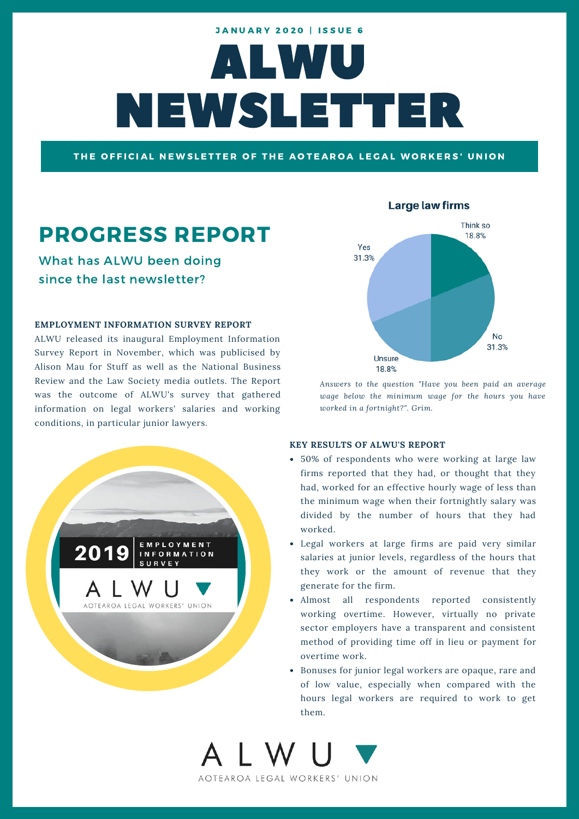# ALWU NEWSLETTER **JANUARY 2020 | ISSUE 6**

THE OFFICIAL NEWSLETTER OF THE AOTEAROA LEGAL WORKERS' UNION

# PROGRESS REPORT

What has ALWU been doing since the last newsletter?

#### **EMPLOYMENT INFORMATION SURVEY REPORT**

ALWU released its inaugural Employment Information Survey Report in November, which was publicised by Alison Mau for Stuff as well as the National Business Review and the Law Society media outlets. The Report was the outcome of ALWU's survey that gathered information on legal workers' salaries and working conditions, in particular junior lawyers.



#### **Large law firms**



*Answers to the question "Have you been paid an average wage below the minimum wage for the hours you have worked in a fortnight?". Grim.*

#### **KEY RESULTS OF ALWU'S REPORT**

- 50% of respondents who were working at large law firms reported that they had, or thought that they had, worked for an effective hourly wage of less than the minimum wage when their fortnightly salary was divided by the number of hours that they had worked.
- Legal workers at large firms are paid very similar salaries at junior levels, regardless of the hours that they work or the amount of revenue that they generate for the firm.
- Almost all respondents reported consistently working overtime. However, virtually no private sector employers have a transparent and consistent method of providing time off in lieu or payment for overtime work.
- Bonuses for junior legal workers are opaque, rare and of low value, especially when compared with the hours legal workers are required to work to get them.

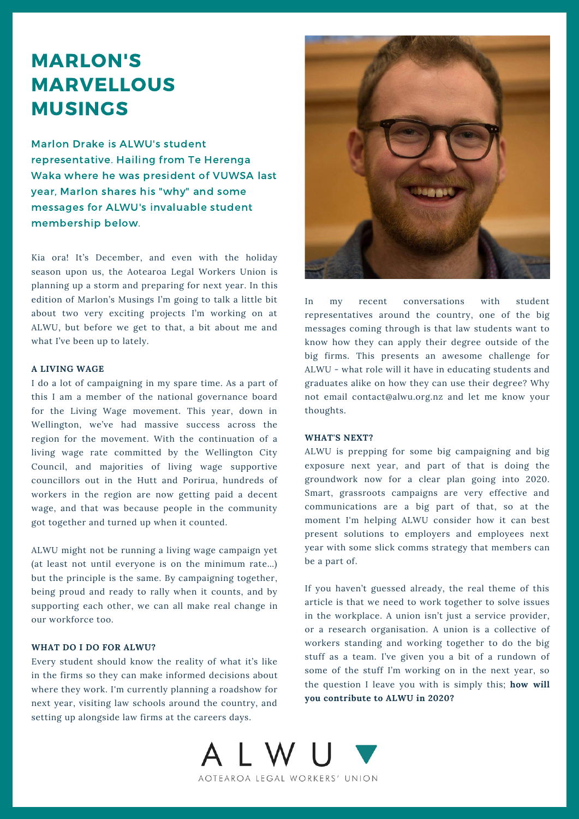### MARLON'S MARVELLOUS MUSINGS

Marlon Drake is ALWU's student representative. Hailing from Te Herenga Waka where he was president of VUWSA last year, Marlon shares his "why" and some messages for ALWU's invaluable student membership below.

Kia ora! It's December, and even with the holiday season upon us, the Aotearoa Legal Workers Union is planning up a storm and preparing for next year. In this edition of Marlon's Musings I'm going to talk a little bit about two very exciting projects I'm working on at ALWU, but before we get to that, a bit about me and what I've been up to lately.

#### **A LIVING WAGE**

I do a lot of campaigning in my spare time. As a part of this I am a member of the national governance board for the Living Wage movement. This year, down in Wellington, we've had massive success across the region for the movement. With the continuation of a living wage rate committed by the Wellington City Council, and majorities of living wage supportive councillors out in the Hutt and Porirua, hundreds of workers in the region are now getting paid a decent wage, and that was because people in the community got together and turned up when it counted.

ALWU might not be running a living wage campaign yet (at least not until everyone is on the minimum rate…) but the principle is the same. By campaigning together, being proud and ready to rally when it counts, and by supporting each other, we can all make real change in our workforce too.

#### **WHAT DO I DO FOR ALWU?**

Every student should know the reality of what it's like in the firms so they can make informed decisions about where they work. I'm currently planning a roadshow for next year, visiting law schools around the country, and setting up alongside law firms at the careers days.



In my recent conversations with student representatives around the country, one of the big messages coming through is that law students want to know how they can apply their degree outside of the big firms. This presents an awesome challenge for ALWU - what role will it have in educating students and graduates alike on how they can use their degree? Why not email contact@alwu.org.nz and let me know your thoughts.

#### **WHAT'S NEXT?**

ALWU is prepping for some big campaigning and big exposure next year, and part of that is doing the groundwork now for a clear plan going into 2020. Smart, grassroots campaigns are very effective and communications are a big part of that, so at the moment I'm helping ALWU consider how it can best present solutions to employers and employees next year with some slick comms strategy that members can be a part of.

If you haven't guessed already, the real theme of this article is that we need to work together to solve issues in the workplace. A union isn't just a service provider, or a research organisation. A union is a collective of workers standing and working together to do the big stuff as a team. I've given you a bit of a rundown of some of the stuff I'm working on in the next year, so the question I leave you with is simply this; **how will you contribute to ALWU in 2020?**